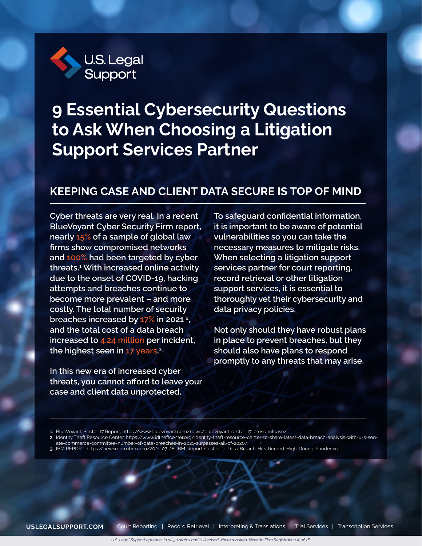

# **9 Essential Cybersecurity Questions to Ask When Choosing a Litigation Support Services Partner**

### **KEEPING CASE AND CLIENT DATA SECURE IS TOP OF MIND**

**Cyber threats are very real. In a recent BlueVoyant Cyber Security Firm report, nearly 15% of a sample of global law firms show compromised networks and 100% had been targeted by cyber threats.1 With increased online activity due to the onset of COVID-19, hacking attempts and breaches continue to become more prevalent – and more costly. The total number of security breaches increased by 17% in 2021 2 , and the total cost of a data breach increased to 4.24 million per incident, the highest seen in 17 years. 3**

**In this new era of increased cyber threats, you cannot afford to leave your case and client data unprotected.** 

**To safeguard confidential information, it is important to be aware of potential vulnerabilities so you can take the necessary measures to mitigate risks. When selecting a litigation support services partner for court reporting, record retrieval or other litigation support services, it is essential to thoroughly vet their cybersecurity and data privacy policies.** 

**Not only should they have robust plans in place to prevent breaches, but they should also have plans to respond promptly to any threats that may arise.** 

- **2.** Identity Theft Resource Center, https://www.idtheftcenter.org/identity-theft-resource-center-to-share-latest-data-breach-analysis-with-u-s-senate-commerce-committee-number-of-data-breaches-in-2021-surpasses-all-of-2020/
- **3.** IBM REPORT, https://newsroom.ibm.com/2021-07-28-IBM-Report-Cost-of-a-Data-Breach-Hits-Record-High-During-Pandemic

**<sup>1.</sup>** BlueVoyant, Sector 17 Report, https://www.bluevoyant.com/news/bluevoyant-sector-17-press-release/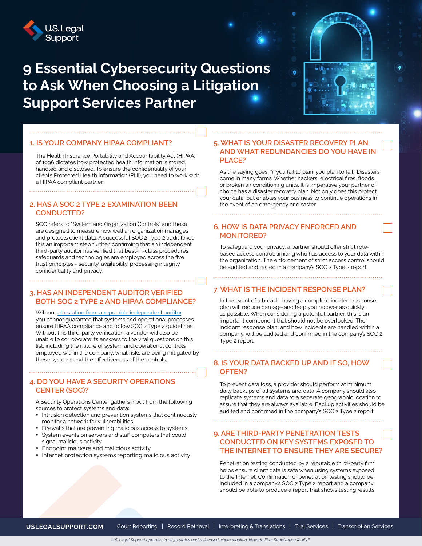

### **9 Essential Cybersecurity Questions to Ask When Choosing a Litigation Support Services Partner**



The Health Insurance Portability and Accountability Act (HIPAA) of 1996 dictates how protected health information is stored, handled and disclosed. To ensure the confidentiality of your clients Protected Health Information (PHI), you need to work with a HIPAA compliant partner.

#### **2. HAS A SOC 2 TYPE 2 EXAMINATION BEEN CONDUCTED?**

SOC refers to "System and Organization Controls" and these are designed to measure how well an organization manages and protects client data. A successful SOC 2 Type 2 audit takes this an important step further, confirming that an independent third-party auditor has verified that best-in-class procedures, safeguards and technologies are employed across the five trust principles - security, availability, processing integrity, confidentiality and privacy.

#### **3. HAS AN INDEPENDENT AUDITOR VERIFIED BOTH SOC 2 TYPE 2 AND HIPAA COMPLIANCE?**

Without [attestation from a reputable independent auditor](https://www.aicpa.org/interestareas/frc/assuranceadvisoryservices/aicpasoc2report.html), you cannot guarantee that systems and operational processes ensure HIPAA compliance and follow SOC 2 Type 2 guidelines. Without this third-party verification, a vendor will also be unable to corroborate its answers to the vital questions on this list, including the nature of system and operational controls employed within the company, what risks are being mitigated by these systems and the effectiveness of the controls.

#### **4. DO YOU HAVE A SECURITY OPERATIONS CENTER (SOC)?**

A Security Operations Center gathers input from the following sources to protect systems and data:

- Intrusion detection and prevention systems that continuously monitor a network for vulnerabilities
- Firewalls that are preventing malicious access to systems
- y System events on servers and staff computers that could signal malicious activity
- Endpoint malware and malicious activity
- Internet protection systems reporting malicious activity

#### **5. WHAT IS YOUR DISASTER RECOVERY PLAN AND WHAT REDUNDANCIES DO YOU HAVE IN PLACE?**

As the saying goes, "if you fail to plan, you plan to fail." Disasters come in many forms. Whether hackers, electrical fires, floods or broken air conditioning units, It is imperative your partner of choice has a disaster recovery plan. Not only does this protect your data, but enables your business to continue operations in the event of an emergency or disaster.

#### **6. HOW IS DATA PRIVACY ENFORCED AND MONITORED?**

To safeguard your privacy, a partner should offer strict rolebased access control, limiting who has access to your data within the organization. The enforcement of strict access control should be audited and tested in a company's SOC 2 Type 2 report.

#### **7. WHAT IS THE INCIDENT RESPONSE PLAN?**

In the event of a breach, having a complete incident response plan will reduce damage and help you recover as quickly as possible. When considering a potential partner, this is an important component that should not be overlooked. The incident response plan, and how incidents are handled within a company, will be audited and confirmed in the company's SOC 2 Type 2 report.

#### **8. IS YOUR DATA BACKED UP AND IF SO, HOW OFTEN?**

To prevent data loss, a provider should perform at minimum daily backups of all systems and data. A company should also replicate systems and data to a separate geographic location to assure that they are always available. Backup activities should be audited and confirmed in the company's SOC 2 Type 2 report.

#### **9. ARE THIRD-PARTY PENETRATION TESTS CONDUCTED ON KEY SYSTEMS EXPOSED TO THE INTERNET TO ENSURE THEY ARE SECURE?**

Penetration testing conducted by a reputable third-party firm helps ensure client data is safe when using systems exposed to the Internet. Confirmation of penetration testing should be included in a company's SOC 2 Type 2 report and a company should be able to produce a report that shows testing results.